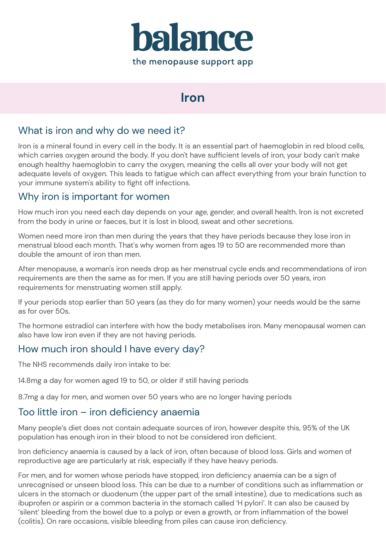

# **Iron**

## What is iron and why do we need it?

Iron is a mineral found in every cell in the body. It is an essential part of haemoglobin in red blood cells, which carries oxygen around the body. If you don't have sufficient levels of iron, your body can't make enough healthy haemoglobin to carry the oxygen, meaning the cells all over your body will not get adequate levels of oxygen. This leads to fatigue which can affect everything from your brain function to your immune system's ability to fight off infections.

### Why iron is important for women

How much iron you need each day depends on your age, gender, and overall health. Iron is not excreted from the body in urine or faeces, but it is lost in blood, sweat and other secretions.

Women need more iron than men during the years that they have periods because they lose iron in menstrual blood each month. That's why women from ages 19 to 50 are recommended more than double the amount of iron than men.

After menopause, a woman's iron needs drop as her menstrual cycle ends and recommendations of iron requirements are then the same as for men. If you are still having periods over 50 years, iron requirements for menstruating women still apply.

If your periods stop earlier than 50 years (as they do for many women) your needs would be the same as for over 50s.

The hormone estradiol can interfere with how the body metabolises iron. Many menopausal women can also have low iron even if they are not having periods.

## How much iron should I have every day?

The NHS recommends daily iron intake to be:

14.8mg a day for women aged 19 to 50, or older if still having periods

8.7mg a day for men, and women over 50 years who are no longer having periods

#### Too little iron – iron deficiency anaemia

Many people's diet does not contain adequate sources of iron, however despite this, 95% of the UK population has enough iron in their blood to not be considered iron deficient.

Iron deficiency anaemia is caused by a lack of iron, often because of blood loss. Girls and women of reproductive age are particularly at risk, especially if they have heavy periods.

For men, and for women whose periods have stopped, iron deficiency anaemia can be a sign of unrecognised or unseen blood loss. This can be due to a number of conditions such as inflammation or ulcers in the stomach or duodenum (the upper part of the small intestine), due to medications such as ibuprofen or aspirin or a common bacteria in the stomach called 'H pylori'. It can also be caused by 'silent' bleeding from the bowel due to a polyp or even a growth, or from inflammation of the bowel (colitis). On rare occasions, visible bleeding from piles can cause iron deficiency.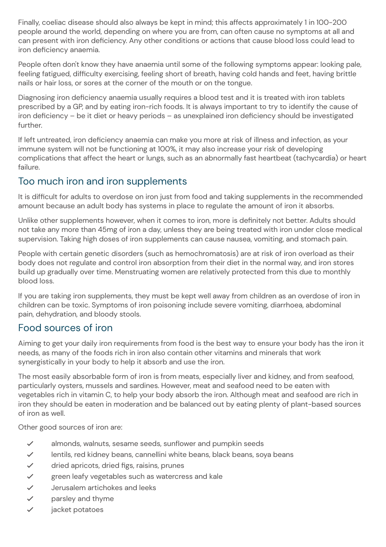Finally, coeliac disease should also always be kept in mind; this affects approximately 1 in 100-200 people around the world, depending on where you are from, can often cause no symptoms at all and can present with iron deficiency. Any other conditions or actions that cause blood loss could lead to iron deficiency anaemia.

People often don't know they have anaemia until some of the following symptoms appear: looking pale, feeling fatigued, difficulty exercising, feeling short of breath, having cold hands and feet, having brittle nails or hair loss, or sores at the corner of the mouth or on the tongue.

Diagnosing iron deficiency anaemia usually requires a blood test and it is treated with iron tablets prescribed by a GP, and by eating iron-rich foods. It is always important to try to identify the cause of iron deficiency – be it diet or heavy periods – as unexplained iron deficiency should be investigated further.

If left untreated, iron deficiency anaemia can make you more at risk of illness and infection, as your immune system will not be functioning at 100%, it may also increase your risk of developing complications that affect the heart or lungs, such as an abnormally fast heartbeat (tachycardia) or heart failure.

### Too much iron and iron supplements

It is difficult for adults to overdose on iron just from food and taking supplements in the recommended amount because an adult body has systems in place to regulate the amount of iron it absorbs.

Unlike other supplements however, when it comes to iron, more is definitely not better. Adults should not take any more than 45mg of iron a day, unless they are being treated with iron under close medical supervision. Taking high doses of iron supplements can cause nausea, vomiting, and stomach pain.

People with certain genetic disorders (such as hemochromatosis) are at risk of iron overload as their body does not regulate and control iron absorption from their diet in the normal way, and iron stores build up gradually over time. Menstruating women are relatively protected from this due to monthly blood loss.

If you are taking iron supplements, they must be kept well away from children as an overdose of iron in children can be toxic. Symptoms of iron poisoning include severe vomiting, diarrhoea, abdominal pain, dehydration, and bloody stools.

## Food sources of iron

Aiming to get your daily iron requirements from food is the best way to ensure your body has the iron it needs, as many of the foods rich in iron also contain other vitamins and minerals that work synergistically in your body to help it absorb and use the iron.

The most easily absorbable form of iron is from meats, especially liver and kidney, and from seafood, particularly oysters, mussels and sardines. However, meat and seafood need to be eaten with vegetables rich in vitamin C, to help your body absorb the iron. Although meat and seafood are rich in iron they should be eaten in moderation and be balanced out by eating plenty of plant-based sources of iron as well.

Other good sources of iron are:

- ✓ almonds, walnuts, sesame seeds, sunflower and pumpkin seeds
- ✓ lentils, red kidney beans, cannellini white beans, black beans, soya beans
- ✓ dried apricots, dried figs, raisins, prunes
- ✓ green leafy vegetables such as watercress and kale
- ✓ Jerusalem artichokes and leeks
- ✓ parsley and thyme
- ✓ jacket potatoes